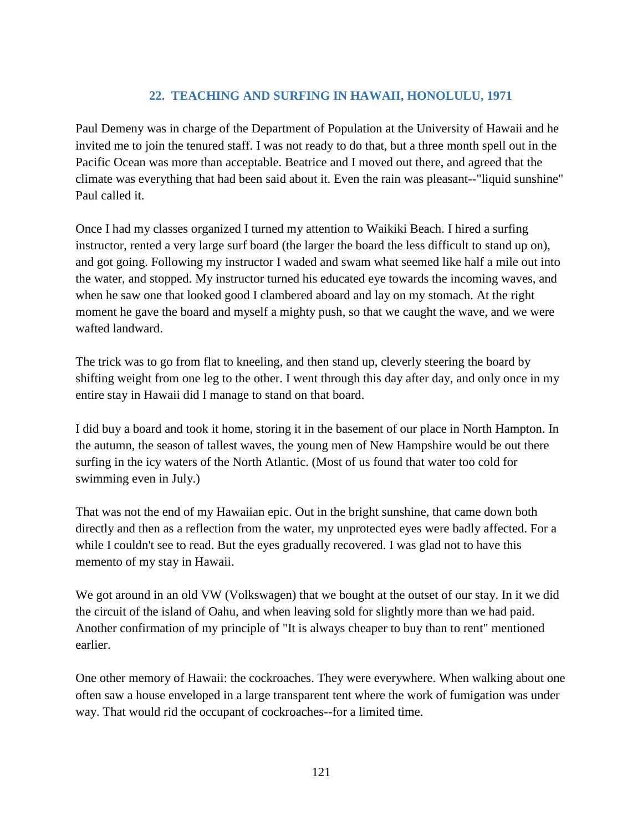## **22. TEACHING AND SURFING IN HAWAII, HONOLULU, 1971**

Paul Demeny was in charge of the Department of Population at the University of Hawaii and he invited me to join the tenured staff. I was not ready to do that, but a three month spell out in the Pacific Ocean was more than acceptable. Beatrice and I moved out there, and agreed that the climate was everything that had been said about it. Even the rain was pleasant--"liquid sunshine" Paul called it.

Once I had my classes organized I turned my attention to Waikiki Beach. I hired a surfing instructor, rented a very large surf board (the larger the board the less difficult to stand up on), and got going. Following my instructor I waded and swam what seemed like half a mile out into the water, and stopped. My instructor turned his educated eye towards the incoming waves, and when he saw one that looked good I clambered aboard and lay on my stomach. At the right moment he gave the board and myself a mighty push, so that we caught the wave, and we were wafted landward.

The trick was to go from flat to kneeling, and then stand up, cleverly steering the board by shifting weight from one leg to the other. I went through this day after day, and only once in my entire stay in Hawaii did I manage to stand on that board.

I did buy a board and took it home, storing it in the basement of our place in North Hampton. In the autumn, the season of tallest waves, the young men of New Hampshire would be out there surfing in the icy waters of the North Atlantic. (Most of us found that water too cold for swimming even in July.)

That was not the end of my Hawaiian epic. Out in the bright sunshine, that came down both directly and then as a reflection from the water, my unprotected eyes were badly affected. For a while I couldn't see to read. But the eyes gradually recovered. I was glad not to have this memento of my stay in Hawaii.

We got around in an old VW (Volkswagen) that we bought at the outset of our stay. In it we did the circuit of the island of Oahu, and when leaving sold for slightly more than we had paid. Another confirmation of my principle of "It is always cheaper to buy than to rent" mentioned earlier.

One other memory of Hawaii: the cockroaches. They were everywhere. When walking about one often saw a house enveloped in a large transparent tent where the work of fumigation was under way. That would rid the occupant of cockroaches--for a limited time.